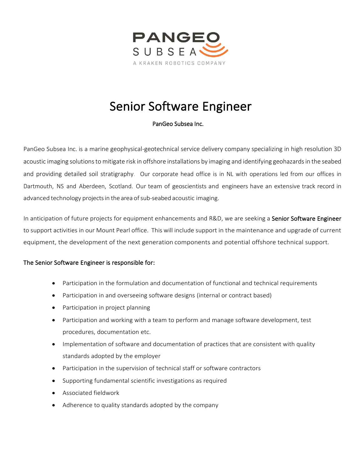

## Senior Software Engineer

## PanGeo Subsea Inc.

PanGeo Subsea Inc. is a marine geophysical-geotechnical service delivery company specializing in high resolution 3D acoustic imaging solutions to mitigate risk in offshore installations by imaging and identifying geohazards in the seabed and providing detailed soil stratigraphy. Our corporate head office is in NL with operations led from our offices in Dartmouth, NS and Aberdeen, Scotland. Our team of geoscientists and engineers have an extensive track record in advanced technology projects in the area of sub-seabed acoustic imaging.

In anticipation of future projects for equipment enhancements and R&D, we are seeking a Senior Software Engineer to support activities in our Mount Pearl office. This will include support in the maintenance and upgrade of current equipment, the development of the next generation components and potential offshore technical support.

## The Senior Software Engineer is responsible for:

- Participation in the formulation and documentation of functional and technical requirements
- Participation in and overseeing software designs (internal or contract based)
- Participation in project planning
- Participation and working with a team to perform and manage software development, test procedures, documentation etc.
- Implementation of software and documentation of practices that are consistent with quality standards adopted by the employer
- Participation in the supervision of technical staff or software contractors
- Supporting fundamental scientific investigations as required
- Associated fieldwork
- Adherence to quality standards adopted by the company